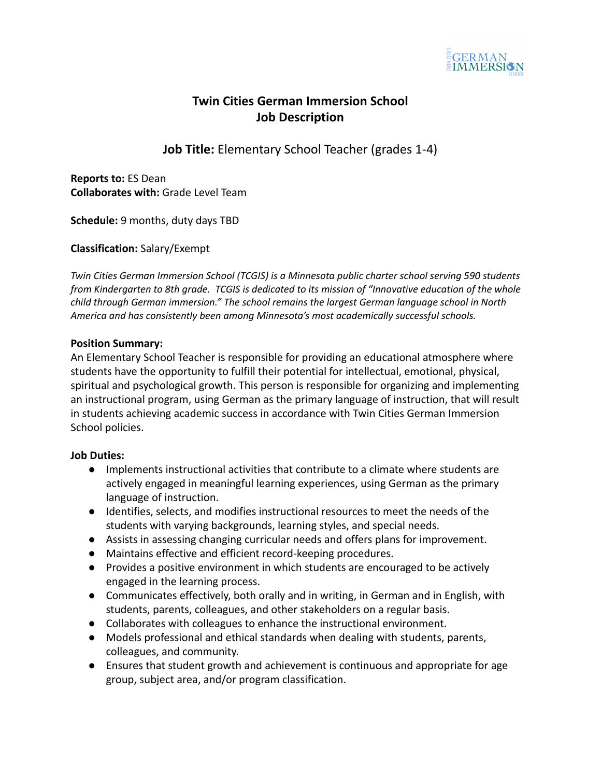

# **Twin Cities German Immersion School Job Description**

**Job Title:** Elementary School Teacher (grades 1-4)

**Reports to:** ES Dean **Collaborates with:** Grade Level Team

**Schedule:** 9 months, duty days TBD

**Classification:** Salary/Exempt

*Twin Cities German Immersion School (TCGIS) is a Minnesota public charter school serving 590 students from Kindergarten to 8th grade. TCGIS is dedicated to its mission of "Innovative education of the whole child through German immersion." The school remains the largest German language school in North America and has consistently been among Minnesota's most academically successful schools.*

### **Position Summary:**

An Elementary School Teacher is responsible for providing an educational atmosphere where students have the opportunity to fulfill their potential for intellectual, emotional, physical, spiritual and psychological growth. This person is responsible for organizing and implementing an instructional program, using German as the primary language of instruction, that will result in students achieving academic success in accordance with Twin Cities German Immersion School policies.

#### **Job Duties:**

- Implements instructional activities that contribute to a climate where students are actively engaged in meaningful learning experiences, using German as the primary language of instruction.
- Identifies, selects, and modifies instructional resources to meet the needs of the students with varying backgrounds, learning styles, and special needs.
- Assists in assessing changing curricular needs and offers plans for improvement.
- Maintains effective and efficient record-keeping procedures.
- Provides a positive environment in which students are encouraged to be actively engaged in the learning process.
- Communicates effectively, both orally and in writing, in German and in English, with students, parents, colleagues, and other stakeholders on a regular basis.
- Collaborates with colleagues to enhance the instructional environment.
- Models professional and ethical standards when dealing with students, parents, colleagues, and community.
- Ensures that student growth and achievement is continuous and appropriate for age group, subject area, and/or program classification.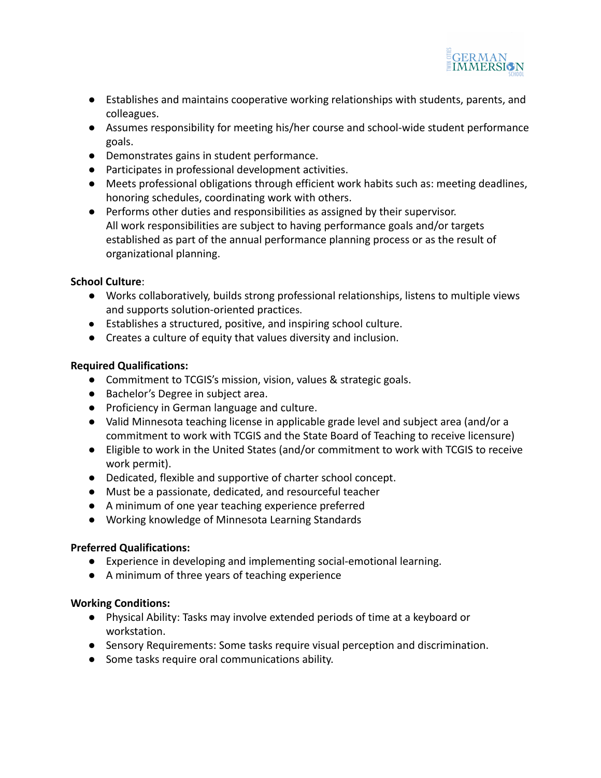

- Establishes and maintains cooperative working relationships with students, parents, and colleagues.
- Assumes responsibility for meeting his/her course and school-wide student performance goals.
- Demonstrates gains in student performance.
- Participates in professional development activities.
- Meets professional obligations through efficient work habits such as: meeting deadlines, honoring schedules, coordinating work with others.
- Performs other duties and responsibilities as assigned by their supervisor. All work responsibilities are subject to having performance goals and/or targets established as part of the annual performance planning process or as the result of organizational planning.

### **School Culture**:

- **●** Works collaboratively, builds strong professional relationships, listens to multiple views and supports solution-oriented practices.
- Establishes a structured, positive, and inspiring school culture.
- Creates a culture of equity that values diversity and inclusion.

## **Required Qualifications:**

- Commitment to TCGIS's mission, vision, values & strategic goals.
- Bachelor's Degree in subject area.
- **●** Proficiency in German language and culture.
- Valid Minnesota teaching license in applicable grade level and subject area (and/or a commitment to work with TCGIS and the State Board of Teaching to receive licensure)
- Eligible to work in the United States (and/or commitment to work with TCGIS to receive work permit).
- Dedicated, flexible and supportive of charter school concept.
- Must be a passionate, dedicated, and resourceful teacher
- A minimum of one year teaching experience preferred
- Working knowledge of Minnesota Learning Standards

## **Preferred Qualifications:**

- Experience in developing and implementing social-emotional learning.
- A minimum of three years of teaching experience

## **Working Conditions:**

- Physical Ability: Tasks may involve extended periods of time at a keyboard or workstation.
- Sensory Requirements: Some tasks require visual perception and discrimination.
- Some tasks require oral communications ability.